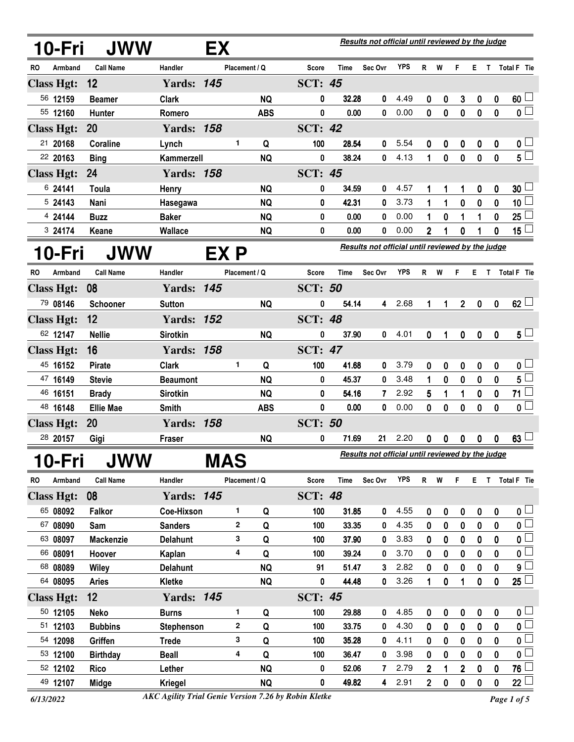|           | 10-Fri            | JWW                  |                   | <b>EX</b> |               |            |                |             | Results not official until reviewed by the judge        |            |                |              |                  |                  |              |                           |
|-----------|-------------------|----------------------|-------------------|-----------|---------------|------------|----------------|-------------|---------------------------------------------------------|------------|----------------|--------------|------------------|------------------|--------------|---------------------------|
| RO        | Armband           | <b>Call Name</b>     | Handler           |           | Placement / Q |            | <b>Score</b>   | Time        | Sec Ovr                                                 | <b>YPS</b> | R              | W            | F                | Е.               | $\mathbf{T}$ | Total F Tie               |
|           | <b>Class Hgt:</b> | 12                   | <b>Yards: 145</b> |           |               |            | <b>SCT: 45</b> |             |                                                         |            |                |              |                  |                  |              |                           |
|           | 56 12159          | <b>Beamer</b>        | <b>Clark</b>      |           |               | <b>NQ</b>  | 0              | 32.28       | 0                                                       | 4.49       | 0              | 0            | 3                | 0                | 0            | $60\perp$                 |
|           | 55 12160          | Hunter               | Romero            |           |               | <b>ABS</b> | 0              | 0.00        | 0                                                       | 0.00       | 0              | $\mathbf 0$  | $\mathbf 0$      | $\mathbf 0$      | $\mathbf 0$  | $\overline{\mathfrak{o}}$ |
|           | <b>Class Hgt:</b> | <b>20</b>            | <b>Yards: 158</b> |           |               |            | <b>SCT: 42</b> |             |                                                         |            |                |              |                  |                  |              |                           |
|           | 21 20168          | Coraline             | Lynch             |           | 1             | Q          | 100            | 28.54       | 0                                                       | 5.54       | 0              | 0            | 0                | 0                | 0            | 0 <sup>L</sup>            |
|           | 22 20163          | <b>Bing</b>          | Kammerzell        |           |               | <b>NQ</b>  | $\mathbf 0$    | 38.24       | $\bf{0}$                                                | 4.13       | 1              | $\mathbf{0}$ | $\mathbf 0$      | $\mathbf 0$      | $\mathbf 0$  | $5^{\degree}$             |
|           | <b>Class Hgt:</b> | 24                   | <b>Yards: 158</b> |           |               |            | <b>SCT: 45</b> |             |                                                         |            |                |              |                  |                  |              |                           |
|           | 6 24141           | Toula                | <b>Henry</b>      |           |               | <b>NQ</b>  | 0              | 34.59       | 0                                                       | 4.57       |                | 1            | 1                | 0                | 0            | 30 <sup>L</sup>           |
|           | 5 24143           | Nani                 | Hasegawa          |           |               | <b>NQ</b>  | 0              | 42.31       | 0                                                       | 3.73       | 1              | 1            | $\mathbf 0$      | 0                | 0            | 10 <sup>1</sup>           |
|           | 4 24144           | <b>Buzz</b>          | <b>Baker</b>      |           |               | <b>NQ</b>  | 0              | 0.00        | 0                                                       | 0.00       | 1              | 0            | 1                | 1                | 0            | 25                        |
|           | 3 24174           | Keane                | Wallace           |           |               | <b>NQ</b>  | 0              | 0.00        | 0                                                       | 0.00       | 2              | 1            | 0                |                  | 0            | 15 <sup>1</sup>           |
|           | 10-Fri            | <b>JWW</b>           |                   | EX P      |               |            |                |             | Results not official until reviewed by the judge        |            |                |              |                  |                  |              |                           |
| RO        | Armband           | <b>Call Name</b>     | Handler           |           | Placement / Q |            | <b>Score</b>   | <b>Time</b> | Sec Ovr                                                 | <b>YPS</b> | R.             | W            | F                | E.               | $\mathbf{T}$ | Total F Tie               |
|           | <b>Class Hgt:</b> | 08                   | <b>Yards: 145</b> |           |               |            | <b>SCT: 50</b> |             |                                                         |            |                |              |                  |                  |              |                           |
|           | 79 08146          | <b>Schooner</b>      | <b>Sutton</b>     |           |               | <b>NQ</b>  | 0              | 54.14       | 4                                                       | 2.68       | 1              | 1            | 2 <sup>7</sup>   | $\mathbf 0$      | $\mathbf 0$  | $62$ $-$                  |
|           | <b>Class Hgt:</b> | 12                   | <b>Yards: 152</b> |           |               |            | <b>SCT: 48</b> |             |                                                         |            |                |              |                  |                  |              |                           |
|           | 62 12147          | <b>Nellie</b>        | <b>Sirotkin</b>   |           |               | <b>NQ</b>  | 0              | 37.90       | 0                                                       | 4.01       | 0              | 1            | $\mathbf 0$      | $\boldsymbol{0}$ | 0            | $5^{\perp}$               |
|           | <b>Class Hgt:</b> | 16                   | <b>Yards: 158</b> |           |               |            | <b>SCT: 47</b> |             |                                                         |            |                |              |                  |                  |              |                           |
|           | 45 16152          | <b>Pirate</b>        | <b>Clark</b>      |           | 1             | Q          | 100            | 41.68       | 0                                                       | 3.79       | 0              | 0            | $\boldsymbol{0}$ | 0                | 0            | 0 <sub>0</sub>            |
|           | 47 16149          | <b>Stevie</b>        | <b>Beaumont</b>   |           |               | <b>NQ</b>  | 0              | 45.37       | $\bf{0}$                                                | 3.48       | 1              | $\bf{0}$     | $\mathbf{0}$     | 0                | $\mathbf{0}$ | $5^{\degree}$             |
|           | 46 16151          | <b>Brady</b>         | <b>Sirotkin</b>   |           |               | <b>NQ</b>  | 0              | 54.16       | $\mathbf{7}$                                            | 2.92       | 5              | 1            | 1                | 0                | 0            | $71^{\frac{1}{2}}$        |
|           | 48 16148          | <b>Ellie Mae</b>     | <b>Smith</b>      |           |               | <b>ABS</b> | 0              | 0.00        | 0                                                       | 0.00       | 0              | $\mathbf 0$  | 0                | $\mathbf 0$      | 0            | $\overline{\mathbf{0}}$   |
|           | <b>Class Hgt:</b> | <b>20</b>            | <b>Yards: 158</b> |           |               |            | <b>SCT: 50</b> |             |                                                         |            |                |              |                  |                  |              |                           |
|           | 28 20157          | Gigi                 | Fraser            |           |               | <b>NQ</b>  | 0              | 71.69       | 21                                                      | 2.20       | 0              | 0            | 0                | 0                | 0            | 63 <sup>1</sup>           |
|           | 10-Fri            | <b>JWW</b>           |                   | MAS       |               |            |                |             | <u>Results not official until reviewed by the judge</u> |            |                |              |                  |                  |              |                           |
| <b>RO</b> | Armband           | <b>Call Name</b>     | Handler           |           | Placement / Q |            | Score          | Time        | Sec Ovr                                                 | <b>YPS</b> | R <sub>a</sub> | W            | F                |                  |              | E T Total F Tie           |
|           | <b>Class Hgt:</b> | 08                   | <b>Yards: 145</b> |           |               |            | <b>SCT: 48</b> |             |                                                         |            |                |              |                  |                  |              |                           |
|           | 65 08092          |                      | Coe-Hixson        |           | 1             |            | 100            | 31.85       | 0                                                       | 4.55       |                |              |                  |                  |              | 0 <sub>1</sub>            |
|           | 67 08090          | <b>Falkor</b><br>Sam | <b>Sanders</b>    |           | 2             | Q<br>Q     | 100            | 33.35       | 0                                                       | 4.35       | 0<br>0         | 0<br>0       | 0<br>$\mathbf 0$ | 0<br>$\mathbf 0$ | 0<br>0       | $\mathfrak{o} \square$    |
|           | 63 08097          | <b>Mackenzie</b>     | <b>Delahunt</b>   |           | 3             | Q          | 100            | 37.90       | 0                                                       | 3.83       | 0              | 0            | $\mathbf 0$      | 0                | 0            | $\mathbf{0}$              |
|           | 66 08091          | Hoover               | Kaplan            |           | 4             | Q          | 100            | 39.24       | 0                                                       | 3.70       | 0              | 0            | 0                | 0                | 0            | $\mathfrak{o} \sqsubset$  |
|           | 68 08089          | <b>Wiley</b>         | <b>Delahunt</b>   |           |               | <b>NQ</b>  | 91             | 51.47       | 3                                                       | 2.82       | 0              | 0            | $\boldsymbol{0}$ | 0                | 0            | 9                         |
|           | 64 08095          | <b>Aries</b>         | Kletke            |           |               | <b>NQ</b>  | 0              | 44.48       | 0                                                       | 3.26       | 1              | $\mathbf 0$  | 1                | $\mathbf 0$      | $\mathbf 0$  | $25\sqcup$                |
|           | <b>Class Hgt:</b> | 12                   | <b>Yards: 145</b> |           |               |            | <b>SCT: 45</b> |             |                                                         |            |                |              |                  |                  |              |                           |
|           | 50 12105          | Neko                 | <b>Burns</b>      |           | 1             | Q          | 100            | 29.88       | 0                                                       | 4.85       | 0              | 0            | 0                | $\boldsymbol{0}$ | 0            | 0 <sub>1</sub>            |
|           | 51 12103          | <b>Bubbins</b>       | Stephenson        |           | $\mathbf 2$   | Q          | 100            | 33.75       | 0                                                       | 4.30       | 0              | $\bf{0}$     | $\mathbf 0$      | $\mathbf 0$      | 0            | $\overline{\mathbf{0}}$   |
|           | 54 12098          | Griffen              | <b>Trede</b>      |           | 3             | Q          | 100            | 35.28       | 0                                                       | 4.11       | 0              | 0            | 0                | 0                | 0            | $\mathbf{0}$              |
|           | 53 12100          | <b>Birthday</b>      | <b>Beall</b>      |           | 4             | Q          | 100            | 36.47       | 0                                                       | 3.98       | 0              | 0            | 0                | 0                | 0            | $\mathbf 0$               |
|           | 52 12102          | <b>Rico</b>          | Lether            |           |               | <b>NQ</b>  | 0              | 52.06       | 7                                                       | 2.79       | 2              |              | 2                | 0                | 0            | 76                        |
|           | 49 12107          | Midge                | <b>Kriegel</b>    |           |               | <b>NQ</b>  | 0              | 49.82       | 4                                                       | 2.91       | $\overline{2}$ | 0            | 0                | 0                | 0            | 22                        |

*<sup>6/13/2022</sup> Page 1 of 5 AKC Agility Trial Genie Version 7.26 by Robin Kletke*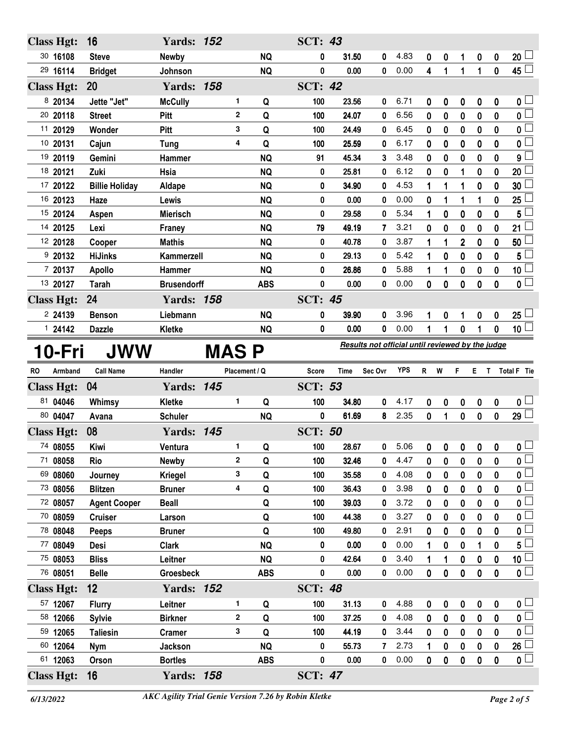| <b>Class Hgt:</b>    | 16                    | <b>Yards: 152</b>  |             |                  |            | <b>SCT: 43</b> |       |                                                  |            |              |                  |              |             |             |                         |
|----------------------|-----------------------|--------------------|-------------|------------------|------------|----------------|-------|--------------------------------------------------|------------|--------------|------------------|--------------|-------------|-------------|-------------------------|
| 30 16108             | <b>Steve</b>          | <b>Newby</b>       |             |                  | <b>NQ</b>  | 0              | 31.50 | 0                                                | 4.83       | 0            | 0                | 1            | 0           | 0           | $20\perp$               |
| 29 16114             | <b>Bridget</b>        | Johnson            |             |                  | <b>NQ</b>  | 0              | 0.00  | 0                                                | 0.00       | 4            | $\mathbf{1}$     | $\mathbf{1}$ | $\mathbf 1$ | $\mathbf 0$ | $45\Box$                |
| <b>Class Hgt:</b>    | 20                    | <b>Yards: 158</b>  |             |                  |            | <b>SCT: 42</b> |       |                                                  |            |              |                  |              |             |             |                         |
| 8 20134              | Jette "Jet"           | <b>McCully</b>     |             | 1                | Q          | 100            | 23.56 | 0                                                | 6.71       | 0            | 0                | 0            | 0           | 0           | 0 <sub>1</sub>          |
| 20 20118             | <b>Street</b>         | Pitt               |             | $\mathbf{2}$     | Q          | 100            | 24.07 | 0                                                | 6.56       | 0            | $\bf{0}$         | 0            | $\bf{0}$    | 0           | $\overline{\mathbf{0}}$ |
| 11 20129             | Wonder                | Pitt               |             | 3                | Q          | 100            | 24.49 | 0                                                | 6.45       | 0            | $\bf{0}$         | $\bf{0}$     | 0           | 0           | $\mathbf 0$             |
| 10 20131             | Cajun                 | <b>Tung</b>        |             | 4                | Q          | 100            | 25.59 | 0                                                | 6.17       | 0            | $\boldsymbol{0}$ | $\bf{0}$     | 0           | 0           | $\mathbf 0$             |
| 19 20119             | Gemini                | Hammer             |             |                  | <b>NQ</b>  | 91             | 45.34 | 3                                                | 3.48       | 0            | $\boldsymbol{0}$ | $\bf{0}$     | 0           | 0           | 9                       |
| 18 20121             | Zuki                  | Hsia               |             |                  | <b>NQ</b>  | 0              | 25.81 | 0                                                | 6.12       | 0            | 0                | 1            | 0           | 0           | 20                      |
| 17 20122             | <b>Billie Holiday</b> | Aldape             |             |                  | <b>NQ</b>  | 0              | 34.90 | 0                                                | 4.53       | 1            | 1                | 1            | 0           | 0           | 30                      |
| 16 20123             | Haze                  | Lewis              |             |                  | <b>NQ</b>  | 0              | 0.00  | 0                                                | 0.00       | 0            | 1                | 1            | 1           | 0           | 25                      |
| 15 20124             | Aspen                 | <b>Mierisch</b>    |             |                  | <b>NQ</b>  | 0              | 29.58 | 0                                                | 5.34       | 1            | 0                | 0            | 0           | 0           | 5                       |
| 14 20125             | Lexi                  | Franey             |             |                  | <b>NQ</b>  | 79             | 49.19 | 7                                                | 3.21       | 0            | 0                | 0            | 0           | 0           | 21                      |
| 12 20128             | Cooper                | <b>Mathis</b>      |             |                  | <b>NQ</b>  | 0              | 40.78 | 0                                                | 3.87       | 1            | 1                | 2            | 0           | 0           | 50                      |
| 920132               | <b>HiJinks</b>        | Kammerzell         |             |                  | <b>NQ</b>  | 0              | 29.13 | 0                                                | 5.42       | 1            | 0                | 0            | 0           | 0           | 5                       |
| 7 20137              | <b>Apollo</b>         | Hammer             |             |                  | <b>NQ</b>  | 0              | 26.86 | 0                                                | 5.88       | 1            | 1                | 0            | 0           | 0           | 10 <sup>1</sup>         |
| 13 20127             | <b>Tarah</b>          | <b>Brusendorff</b> |             |                  | <b>ABS</b> | 0              | 0.00  | 0                                                | 0.00       | 0            | 0                | 0            | $\mathbf 0$ | 0           | $\mathbf{0}$            |
| <b>Class Hgt:</b>    | 24                    | <b>Yards: 158</b>  |             |                  |            | <b>SCT: 45</b> |       |                                                  |            |              |                  |              |             |             |                         |
| 2 24139              | <b>Benson</b>         | Liebmann           |             |                  | <b>NQ</b>  | 0              | 39.90 | 0                                                | 3.96       | 1            | 0                | 1            | 0           | 0           | $25\perp$               |
| 124142               | <b>Dazzle</b>         | Kletke             |             |                  | <b>NQ</b>  | 0              | 0.00  | 0                                                | 0.00       | 1            | 1                | 0            | 1           | 0           | 10 <sup>1</sup>         |
| 10-Fri               | JWW                   |                    | <b>MASP</b> |                  |            |                |       | Results not official until reviewed by the judge |            |              |                  |              |             |             |                         |
|                      |                       |                    |             |                  |            |                |       |                                                  |            |              |                  |              |             |             |                         |
| <b>RO</b><br>Armband | <b>Call Name</b>      | Handler            |             | Placement / Q    |            | Score          | Time  | Sec Ovr                                          | <b>YPS</b> | $\mathsf{R}$ | W                | F            | E T         |             | Total F Tie             |
| <b>Class Hgt:</b>    | 04                    | <b>Yards: 145</b>  |             |                  |            | <b>SCT: 53</b> |       |                                                  |            |              |                  |              |             |             |                         |
| 81 04046             | Whimsy                | Kletke             |             | 1                | Q          | 100            | 34.80 | 0                                                | 4.17       | 0            | 0                | 0            | 0           | 0           | 0 <sub>1</sub>          |
| 80 04047             | Avana                 | <b>Schuler</b>     |             |                  | <b>NQ</b>  | 0              | 61.69 | 8                                                | 2.35       | 0            | 1                | $\mathbf 0$  | $\mathbf 0$ | 0           | 29                      |
| <b>Class Hgt:</b>    | 08                    | <b>Yards: 145</b>  |             |                  |            | <b>SCT: 50</b> |       |                                                  |            |              |                  |              |             |             |                         |
| 74 08055             | Kiwi                  | Ventura            |             | 1                | Q          | 100            | 28.67 | 0                                                | 5.06       | 0            | 0                | 0            | 0           | 0           | $\mathfrak{o} \sqcup$   |
| 71 08058             | Rio                   | <b>Newby</b>       |             | 2                | Q          | 100            | 32.46 | 0                                                | 4.47       | 0            | 0                | 0            | 0           | 0           | 0                       |
| 69 08060             | Journey               | <b>Kriegel</b>     |             | 3                | Q          | 100            | 35.58 | 0                                                | 4.08       | 0            | 0                | 0            | 0           | 0           | 0 <sub>0</sub>          |
| 73 08056             | <b>Blitzen</b>        | <b>Bruner</b>      |             | 4                | Q          | 100            | 36.43 | 0                                                | 3.98       | 0            | 0                | 0            | 0           | 0           | $\overline{\mathbf{0}}$ |
| 72 08057             | <b>Agent Cooper</b>   | <b>Beall</b>       |             |                  | Q          | 100            | 39.03 | 0                                                | 3.72       | 0            | 0                | 0            | 0           | 0           | 0                       |
| 70 08059             | <b>Cruiser</b>        | Larson             |             |                  | Q          | 100            | 44.38 | 0                                                | 3.27       | 0            | 0                | 0            | 0           | 0           | $\mathbf 0$             |
| 78 08048             | Peeps                 | <b>Bruner</b>      |             |                  | Q          | 100            | 49.80 | 0                                                | 2.91       | 0            | 0                | 0            | 0           | 0           | $\mathbf 0$             |
| 77 08049             | Desi                  | <b>Clark</b>       |             |                  | <b>NQ</b>  | 0              | 0.00  | 0                                                | 0.00       | 1            | 0                | 0            |             | 0           | $5^{\degree}$           |
| 75 08053             | <b>Bliss</b>          | Leitner            |             |                  | <b>NQ</b>  | 0              | 42.64 | 0                                                | 3.40       | 1            | 1                | 0            | 0           | 0           | 10 <sub>1</sub>         |
| 76 08051             | <b>Belle</b>          | <b>Groesbeck</b>   |             |                  | <b>ABS</b> | 0              | 0.00  | 0                                                | 0.00       | 0            | $\bf{0}$         | 0            | $\mathbf 0$ | 0           | $\overline{\mathbf{0}}$ |
| <b>Class Hgt:</b>    | 12                    | <b>Yards: 152</b>  |             |                  |            | <b>SCT: 48</b> |       |                                                  |            |              |                  |              |             |             |                         |
| 57 12067             | <b>Flurry</b>         | Leitner            |             | 1                | Q          | 100            | 31.13 | 0                                                | 4.88       | 0            | 0                | 0            | 0           | 0           | 0 <sub>1</sub>          |
| 58 12066             | <b>Sylvie</b>         | <b>Birkner</b>     |             | $\boldsymbol{2}$ | Q          | 100            | 37.25 | 0                                                | 4.08       | 0            | $\bf{0}$         | 0            | $\bf{0}$    | 0           | $\overline{\mathbf{0}}$ |
| 59 12065             | <b>Taliesin</b>       | <b>Cramer</b>      |             | 3                | Q          | 100            | 44.19 | 0                                                | 3.44       | 0            | 0                | 0            | 0           | 0           | $\mathbf{0}$            |
| 60 12064             | <b>Nym</b>            | Jackson            |             |                  | <b>NQ</b>  | 0              | 55.73 | 7                                                | 2.73       | 1            | 0                | 0            | 0           | 0           | $26 \Box$               |
| 61 12063             | Orson                 | <b>Bortles</b>     |             |                  | <b>ABS</b> | 0              | 0.00  | 0                                                | 0.00       | 0            | 0                | 0            | $\bf{0}$    | 0           | $\overline{\mathbf{0}}$ |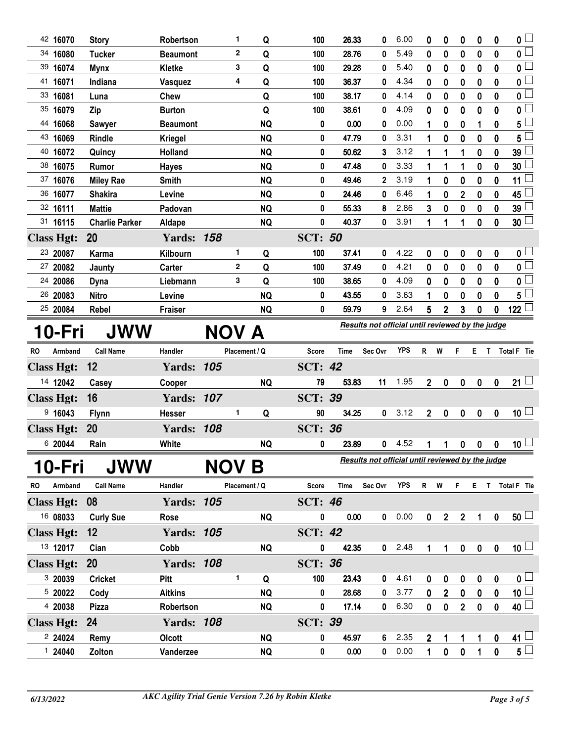| 42 16070             | <b>Story</b>          | Robertson                  | 1            | Q                      | 100            | 26.33         | 0                                                | 6.00         | 0                              | 0              | 0              | 0                | 0                             | 0                          |
|----------------------|-----------------------|----------------------------|--------------|------------------------|----------------|---------------|--------------------------------------------------|--------------|--------------------------------|----------------|----------------|------------------|-------------------------------|----------------------------|
| 34 16080             | <b>Tucker</b>         | <b>Beaumont</b>            | $\mathbf 2$  | Q                      | 100            | 28.76         | 0                                                | 5.49         | 0                              | $\bf{0}$       | 0              | $\bf{0}$         | 0                             | 0 L                        |
| 39 16074             | <b>Mynx</b>           | Kletke                     | 3            | Q                      | 100            | 29.28         | 0                                                | 5.40         | 0                              | 0              | 0              | 0                | 0                             | 0                          |
| 41 16071             | Indiana               | Vasquez                    | 4            | Q                      | 100            | 36.37         | 0                                                | 4.34         | 0                              | $\bf{0}$       | $\bf{0}$       | $\boldsymbol{0}$ | 0                             | 0                          |
| 33 16081             | Luna                  | Chew                       |              | Q                      | 100            | 38.17         | 0                                                | 4.14         | 0                              | $\bf{0}$       | 0              | 0                | 0                             | 0                          |
| 35 16079             | Zip                   | <b>Burton</b>              |              | Q                      | 100            | 38.61         | 0                                                | 4.09         | 0                              | $\bf{0}$       | 0              | $\bf{0}$         | 0                             | 0                          |
| 44 16068             | <b>Sawyer</b>         | <b>Beaumont</b>            |              | <b>NQ</b>              | 0              | 0.00          | 0                                                | 0.00         | 1                              | 0              | 0              | 1                | 0                             | 5                          |
| 43 16069             | Rindle                | <b>Kriegel</b>             |              | <b>NQ</b>              | 0              | 47.79         | 0                                                | 3.31         | 1                              | $\bf{0}$       | $\bf{0}$       | $\boldsymbol{0}$ | $\mathbf 0$                   | 5                          |
| 40 16072             | Quincy                | Holland                    |              | <b>NQ</b>              | 0              | 50.62         | 3                                                | 3.12         | 1                              | 1              | 1              | 0                | 0                             | 39                         |
| 38 16075             | Rumor                 | <b>Hayes</b>               |              | <b>NQ</b>              | 0              | 47.48         | 0                                                | 3.33         | 1                              | 1              | 1              | $\bf{0}$         | $\bf{0}$                      | 30                         |
| 37 16076             | <b>Miley Rae</b>      | <b>Smith</b>               |              | <b>NQ</b>              | 0              | 49.46         | 2                                                | 3.19         |                                | 0              | 0              | 0                | 0                             | 11 <sup>1</sup>            |
| 36 16077             | <b>Shakira</b>        | Levine                     |              | <b>NQ</b>              | 0              | 24.46         | 0                                                | 6.46         | 1                              | 0              | $\overline{2}$ | 0                | 0                             | 45                         |
| 32 16111             | <b>Mattie</b>         | Padovan                    |              | <b>NQ</b>              | 0              | 55.33         | 8                                                | 2.86         | 3                              | 0              | 0              | 0                | 0                             | 39                         |
| 31 16115             | <b>Charlie Parker</b> | Aldape                     |              | <b>NQ</b>              | 0              | 40.37         | 0                                                | 3.91         | 1                              | 1              |                | $\boldsymbol{0}$ | $\mathbf 0$                   | $30\lceil$                 |
| <b>Class Hgt:</b>    | 20                    | <b>Yards: 158</b>          |              |                        | <b>SCT: 50</b> |               |                                                  |              |                                |                |                |                  |                               |                            |
| 23 20087             | Karma                 | Kilbourn                   | 1            | Q                      | 100            | 37.41         | 0                                                | 4.22         | 0                              | 0              | 0              | 0                | 0                             | 0 L                        |
| 27 20082             | Jaunty                | Carter                     | $\mathbf{2}$ | Q                      | 100            | 37.49         | 0                                                | 4.21         | 0                              | 0              | 0              | 0                | $\mathbf 0$                   | 0 L                        |
| 24 20086             | Dyna                  | Liebmann                   | 3            | Q                      | 100            | 38.65         | 0                                                | 4.09         | 0                              | 0              | 0              | 0                | 0                             | 0                          |
| 26 20083             | <b>Nitro</b>          | Levine                     |              | <b>NQ</b>              | 0              | 43.55         | 0                                                | 3.63         | 1                              | 0              | 0              | $\mathbf 0$      | $\mathbf{0}$                  | 5                          |
| 25 20084             | Rebel                 | <b>Fraiser</b>             |              | <b>NQ</b>              | 0              | 59.79         | 9                                                | 2.64         | 5                              | $\overline{2}$ | 3              | 0                | 0                             | 122                        |
|                      |                       |                            |              |                        |                |               | Results not official until reviewed by the judge |              |                                |                |                |                  |                               |                            |
| 10-Fri               | <b>JWW</b>            |                            | NOV A        |                        |                |               |                                                  |              |                                |                |                |                  |                               |                            |
|                      |                       |                            |              |                        |                |               |                                                  |              |                                |                |                |                  |                               |                            |
| <b>RO</b><br>Armband | <b>Call Name</b>      | Handler                    |              | Placement / Q          | <b>Score</b>   | Time          | Sec Ovr                                          | <b>YPS</b>   | R                              | W              | F.             | Е.               | T.                            | Total F Tie                |
| <b>Class Hgt:</b>    | 12                    | <b>Yards: 105</b>          |              |                        | <b>SCT: 42</b> |               |                                                  |              |                                |                |                |                  |                               |                            |
| 14 12042             | Casey                 | Cooper                     |              | <b>NQ</b>              | 79             | 53.83         | 11                                               | 1.95         | $\overline{2}$                 | 0              | 0              | $\boldsymbol{0}$ | $\pmb{0}$                     | $21 \Box$                  |
| <b>Class Hgt:</b>    | 16                    | <b>Yards: 107</b>          |              |                        | <b>SCT: 39</b> |               |                                                  |              |                                |                |                |                  |                               |                            |
| 9,16043              |                       | <b>Hesser</b>              | 1            | Q                      | 90             | 34.25         | 0                                                | 3.12         | $\mathbf 2$                    | 0              | 0              | 0                | 0                             | 10 <sup>1</sup>            |
|                      | <b>Flynn</b>          |                            |              |                        |                |               |                                                  |              |                                |                |                |                  |                               |                            |
| <b>Class Hgt:</b>    | 20                    | <b>Yards: 108</b>          |              |                        | <b>SCT: 36</b> |               |                                                  |              |                                |                |                |                  |                               |                            |
| 6 20044              | Rain                  | White                      |              | <b>NQ</b>              | 0              | 23.89         | 0                                                | 4.52         | 1                              | 1              | 0              | 0                | 0                             | 10 <sup>1</sup>            |
| 10-Fri               | <b>JWW</b>            |                            | NOV B        |                        |                |               | Results not official until reviewed by the judge |              |                                |                |                |                  |                               |                            |
| Armband<br>RO        | <b>Call Name</b>      | Handler                    |              | Placement / Q          | Score          | <b>Time</b>   | Sec Ovr                                          | <b>YPS</b>   | R W                            |                | F.             |                  |                               | E T Total F Tie            |
| <b>Class Hgt:</b>    | 08                    | <b>Yards: 105</b>          |              |                        | <b>SCT: 46</b> |               |                                                  |              |                                |                |                |                  |                               |                            |
| 16 08033             |                       | Rose                       |              |                        | 0              | 0.00          | $\mathbf 0$                                      | 0.00         | $\mathbf 0$                    |                |                |                  |                               |                            |
|                      | <b>Curly Sue</b>      |                            |              | <b>NQ</b>              |                |               |                                                  |              |                                | $\overline{2}$ | $\overline{2}$ | 1                | $\pmb{0}$                     | 50 <sup>1</sup>            |
| <b>Class Hgt:</b>    | 12                    | <b>Yards: 105</b>          |              |                        | <b>SCT: 42</b> |               |                                                  |              |                                |                |                |                  |                               |                            |
| 13 12017             | Cian                  | Cobb                       |              | <b>NQ</b>              | 0              | 42.35         | 0                                                | 2.48         | 1                              | 1              | $\pmb{0}$      | $\pmb{0}$        | $\pmb{0}$                     | 10 <sup>1</sup>            |
| <b>Class Hgt:</b>    | 20                    | <b>Yards: 108</b>          |              |                        | <b>SCT: 36</b> |               |                                                  |              |                                |                |                |                  |                               |                            |
| 3 20039              | <b>Cricket</b>        | Pitt                       | 1.           | Q                      | 100            | 23.43         | 0                                                | 4.61         | 0                              | 0              | 0              | 0                | 0                             | $\mathbf{0}$ $\Box$        |
| 5 20022              | Cody                  | <b>Aitkins</b>             |              | <b>NQ</b>              | 0              | 28.68         | 0                                                | 3.77         | $\mathbf 0$                    | $\overline{2}$ | $\pmb{0}$      | $\pmb{0}$        | $\pmb{0}$                     | $10\square$                |
| 4 20038              | <b>Pizza</b>          | Robertson                  |              | <b>NQ</b>              | 0              | 17.14         | 0                                                | 6.30         | $\mathbf{0}$                   | $\pmb{0}$      | $\overline{2}$ | $\pmb{0}$        | $\pmb{0}$                     | $40$ $\Box$                |
| <b>Class Hgt:</b>    | 24                    | <b>Yards: 108</b>          |              |                        | <b>SCT: 39</b> |               |                                                  |              |                                |                |                |                  |                               |                            |
| 2 24024<br>1 24040   | Remy<br>Zolton        | <b>Olcott</b><br>Vanderzee |              | <b>NQ</b><br><b>NQ</b> | 0<br>0         | 45.97<br>0.00 | 6<br>$\mathbf 0$                                 | 2.35<br>0.00 | $\overline{2}$<br>$\mathbf{1}$ | 1<br>$\pmb{0}$ | 1<br>$\pmb{0}$ | 1<br>1           | $\boldsymbol{0}$<br>$\pmb{0}$ | $41 \Box$<br>$5^{\square}$ |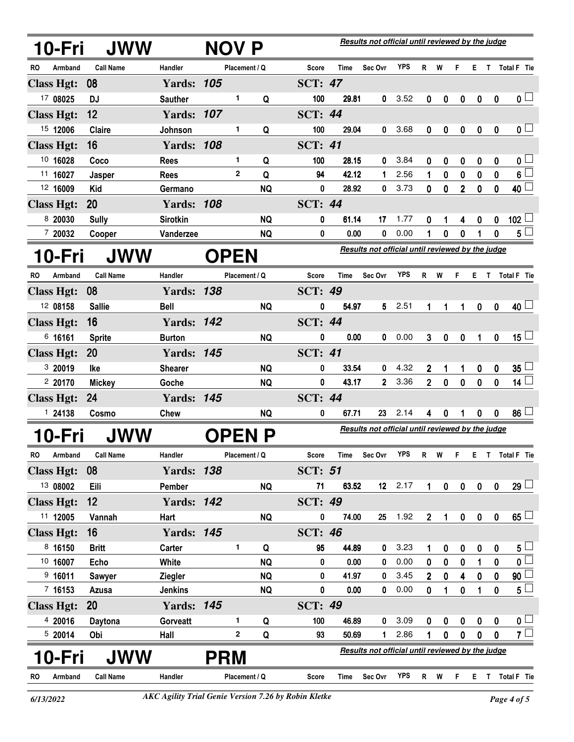|           | 10-Fri            | <b>JWW</b>       |                   | NOV P       |                |               |                |                                                  | Results not official until reviewed by the judge |            |                |             |                  |             |                  |                         |
|-----------|-------------------|------------------|-------------------|-------------|----------------|---------------|----------------|--------------------------------------------------|--------------------------------------------------|------------|----------------|-------------|------------------|-------------|------------------|-------------------------|
| RO        | Armband           | <b>Call Name</b> | Handler           |             |                | Placement / Q | <b>Score</b>   | Time                                             | Sec Ovr                                          | <b>YPS</b> | R              | W           | F                |             |                  | E T Total F Tie         |
|           | <b>Class Hgt:</b> | 08               | <b>Yards: 105</b> |             |                |               | <b>SCT: 47</b> |                                                  |                                                  |            |                |             |                  |             |                  |                         |
|           | 17 08025          | <b>DJ</b>        | <b>Sauther</b>    |             | 1              | Q             | 100            | 29.81                                            | 0                                                | 3.52       | 0              | 0           | 0                | 0           | 0                | 0 <sub>1</sub>          |
|           | <b>Class Hgt:</b> | 12               | <b>Yards: 107</b> |             |                |               | <b>SCT: 44</b> |                                                  |                                                  |            |                |             |                  |             |                  |                         |
|           | 15 12006          | <b>Claire</b>    | Johnson           |             | 1              | Q             | 100            | 29.04                                            | 0                                                | 3.68       | 0              | 0           | $\boldsymbol{0}$ | 0           | 0                | 0 <sub>0</sub>          |
|           | <b>Class Hgt:</b> | 16               | <b>Yards: 108</b> |             |                |               | <b>SCT: 41</b> |                                                  |                                                  |            |                |             |                  |             |                  |                         |
|           | 10 16028          | Coco             | <b>Rees</b>       |             | 1              | Q             | 100            | 28.15                                            | 0                                                | 3.84       | 0              | 0           | 0                | 0           | 0                | $0\iota$                |
|           | 11 16027          | Jasper           | <b>Rees</b>       |             | $\overline{2}$ | Q             | 94             | 42.12                                            | 1                                                | 2.56       | 1              | 0           | 0                | $\bf{0}$    | 0                | $6\Box$                 |
|           | 12 16009          | Kid              | Germano           |             |                | <b>NQ</b>     | 0              | 28.92                                            | 0                                                | 3.73       | 0              | 0           | $\overline{2}$   | $\mathbf 0$ | 0                | $40\perp$               |
|           | <b>Class Hgt:</b> | 20               | <b>Yards: 108</b> |             |                |               | <b>SCT: 44</b> |                                                  |                                                  |            |                |             |                  |             |                  |                         |
|           | 8 20030           | <b>Sully</b>     | <b>Sirotkin</b>   |             |                | <b>NQ</b>     | 0              | 61.14                                            | 17                                               | 1.77       | 0              | 1           | 4                | 0           | 0                | 102 $\perp$             |
|           | 7 20032           | Cooper           | Vanderzee         |             |                | <b>NQ</b>     | 0              | 0.00                                             | 0                                                | 0.00       | 1              | 0           | 0                | 1           | 0                | $5\perp$                |
|           | 10-Fri            | <b>JWW</b>       |                   | <b>OPEN</b> |                |               |                |                                                  | Results not official until reviewed by the judge |            |                |             |                  |             |                  |                         |
| <b>RO</b> | Armband           | <b>Call Name</b> | Handler           |             |                | Placement / Q | <b>Score</b>   | <b>Time</b>                                      | Sec Ovr                                          | <b>YPS</b> | R              | W           | F                | Е.          | $\mathbf{T}$     | Total F Tie             |
|           | <b>Class Hgt:</b> | 08               | <b>Yards: 138</b> |             |                |               | <b>SCT: 49</b> |                                                  |                                                  |            |                |             |                  |             |                  |                         |
|           | 12 08158          | <b>Sallie</b>    | <b>Bell</b>       |             |                | <b>NQ</b>     | 0              | 54.97                                            | 5                                                | 2.51       | 1              | 1           | 1                | 0           | $\mathbf{0}$     | $40\perp$               |
|           | <b>Class Hgt:</b> | 16               | <b>Yards: 142</b> |             |                |               | <b>SCT: 44</b> |                                                  |                                                  |            |                |             |                  |             |                  |                         |
|           | 6 16161           | <b>Sprite</b>    | <b>Burton</b>     |             |                | <b>NQ</b>     | 0              | 0.00                                             | 0                                                | 0.00       | 3              | $\bf{0}$    | $\mathbf 0$      | 1           | $\mathbf 0$      | $15\sqcup$              |
|           | <b>Class Hgt:</b> | <b>20</b>        | <b>Yards: 145</b> |             |                |               | <b>SCT: 41</b> |                                                  |                                                  |            |                |             |                  |             |                  |                         |
|           | 3 20019           | lke              | <b>Shearer</b>    |             |                | <b>NQ</b>     | 0              | 33.54                                            | 0                                                | 4.32       | $\mathbf{2}$   | 1           | 1                | 0           | 0                | 35 <sub>5</sub>         |
|           | 2 20170           | <b>Mickey</b>    | Goche             |             |                | <b>NQ</b>     | 0              | 43.17                                            | $\overline{2}$                                   | 3.36       | $\overline{2}$ | $\mathbf 0$ | $\mathbf 0$      | $\bf{0}$    | $\mathbf{0}$     | 14 $\lfloor$            |
|           | <b>Class Hgt:</b> | 24               | <b>Yards: 145</b> |             |                |               | <b>SCT: 44</b> |                                                  |                                                  |            |                |             |                  |             |                  |                         |
|           | 1 24138           | Cosmo            | Chew              |             |                | <b>NQ</b>     | 0              | 67.71                                            | 23                                               | 2.14       | 4              | 0           |                  | 0           | 0                | 86                      |
|           | 10-Fri            | <b>JWW</b>       |                   |             |                | <b>OPEN P</b> |                | Results not official until reviewed by the judge |                                                  |            |                |             |                  |             |                  |                         |
|           | RO Armband        | <b>Call Name</b> | Handler           |             |                | Placement / Q | <b>Score</b>   | <b>Time</b>                                      | Sec Ovr                                          | <b>YPS</b> |                | R W         |                  |             |                  | E T Total F Tie         |
|           | <b>Class Hgt:</b> | 08               | <b>Yards: 138</b> |             |                |               | <b>SCT: 51</b> |                                                  |                                                  |            |                |             |                  |             |                  |                         |
|           | 13 08002          | Eili             | Pember            |             |                | <b>NQ</b>     | 71             | 63.52                                            |                                                  | $12$ 2.17  | $\mathbf{1}$   | $\pmb{0}$   | $\pmb{0}$        | $\pmb{0}$   | $\mathbf 0$      | 29 <sup>1</sup>         |
|           | <b>Class Hgt:</b> | 12               | <b>Yards: 142</b> |             |                |               | <b>SCT: 49</b> |                                                  |                                                  |            |                |             |                  |             |                  |                         |
|           | 11 12005          | Vannah           | Hart              |             |                | <b>NQ</b>     | 0              | 74.00                                            | 25                                               | 1.92       | $\overline{2}$ | 1           | $\pmb{0}$        | $\pmb{0}$   | $\pmb{0}$        | 65                      |
|           | <b>Class Hgt:</b> | 16               | <b>Yards: 145</b> |             |                |               | <b>SCT: 46</b> |                                                  |                                                  |            |                |             |                  |             |                  |                         |
|           | 8 16150           | <b>Britt</b>     | Carter            |             | 1              | Q             | 95             | 44.89                                            | 0                                                | 3.23       | 1              | 0           | 0                | 0           | 0                | $5\perp$                |
|           | 10 16007          | Echo             | White             |             |                | <b>NQ</b>     | 0              | 0.00                                             | 0                                                | 0.00       | 0              | 0           | 0                | 1           | 0                | $\overline{\mathbf{0}}$ |
|           | 9,16011           | <b>Sawyer</b>    | <b>Ziegler</b>    |             |                | <b>NQ</b>     | 0              | 41.97                                            | 0                                                | 3.45       | $\mathbf{2}$   | $\bf{0}$    | 4                | 0           | 0                | 90                      |
|           | 7 16153           | Azusa            | <b>Jenkins</b>    |             |                | <b>NQ</b>     | $\pmb{0}$      | 0.00                                             | 0                                                | 0.00       | 0              | 1           | $\bf{0}$         | 1           | 0                | $5\Box$                 |
|           | <b>Class Hgt:</b> | <b>20</b>        | <b>Yards: 145</b> |             |                |               | <b>SCT: 49</b> |                                                  |                                                  |            |                |             |                  |             |                  |                         |
|           | 4 20016           | Daytona          | Gorveatt          |             | 1.             | Q             | 100            | 46.89                                            | 0                                                | 3.09       | 0              | 0           | 0                | 0           | $\boldsymbol{0}$ | 0 <sub>1</sub>          |
|           | 5 20014           | Obi              | Hall              |             | 2              | Q             | 93             | 50.69                                            | 1                                                | 2.86       | 1              | 0           | $\mathbf 0$      | $\bf{0}$    | 0                | $7\square$              |
|           | <b>0-Fri</b>      | JWW              |                   | <b>PRM</b>  |                |               |                |                                                  | Results not official until reviewed by the judge |            |                |             |                  |             |                  |                         |
| RO.       | Armband           | <b>Call Name</b> | Handler           |             |                | Placement / Q | Score          | Time                                             | Sec Ovr                                          | <b>YPS</b> |                | R W         | F.               |             |                  | E T Total F Tie         |